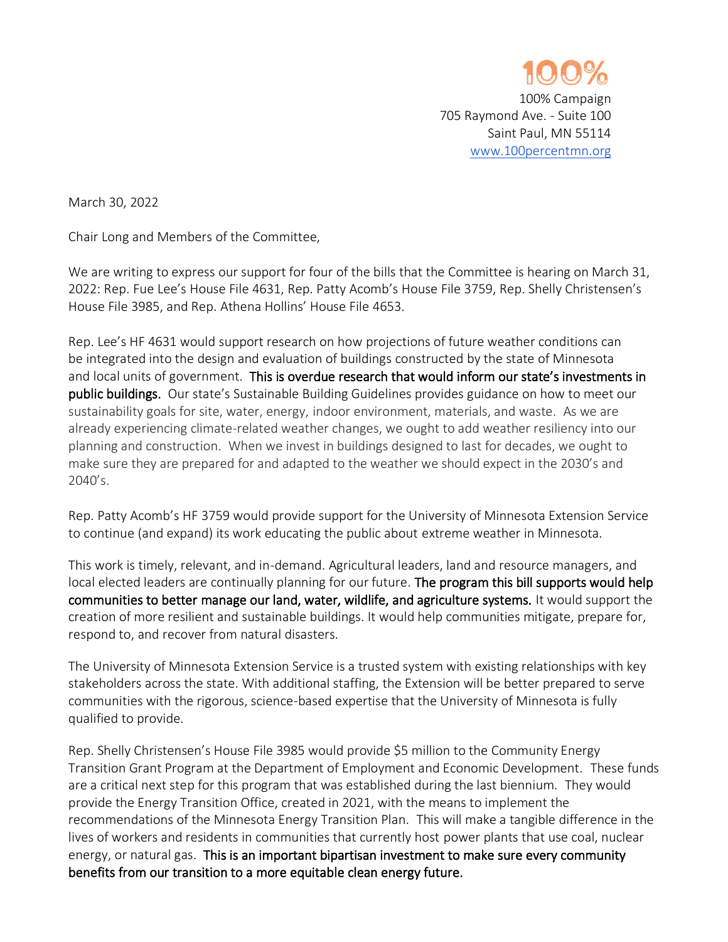

March 30, 2022

Chair Long and Members of the Committee,

We are writing to express our support for four of the bills that the Committee is hearing on March 31, 2022: Rep. Fue Lee's House File 4631, Rep. Patty Acomb's House File 3759, Rep. Shelly Christensen's House File 3985, and Rep. Athena Hollins' House File 4653.

Rep. Lee's HF 4631 would support research on how projections of future weather conditions can be integrated into the design and evaluation of buildings constructed by the state of Minnesota and local units of government. This is overdue research that would inform our state's investments in public buildings. Our state's Sustainable Building Guidelines provides guidance on how to meet our sustainability goals for site, water, energy, indoor environment, materials, and waste. As we are already experiencing climate-related weather changes, we ought to add weather resiliency into our planning and construction. When we invest in buildings designed to last for decades, we ought to make sure they are prepared for and adapted to the weather we should expect in the 2030's and 2040's.

Rep. Patty Acomb's HF 3759 would provide support for the University of Minnesota Extension Service to continue (and expand) its work educating the public about extreme weather in Minnesota.

This work is timely, relevant, and in-demand. Agricultural leaders, land and resource managers, and local elected leaders are continually planning for our future. The program this bill supports would help communities to better manage our land, water, wildlife, and agriculture systems. It would support the creation of more resilient and sustainable buildings. It would help communities mitigate, prepare for, respond to, and recover from natural disasters.

The University of Minnesota Extension Service is a trusted system with existing relationships with key stakeholders across the state. With additional staffing, the Extension will be better prepared to serve communities with the rigorous, science-based expertise that the University of Minnesota is fully qualified to provide.

Rep. Shelly Christensen's House File 3985 would provide \$5 million to the Community Energy Transition Grant Program at the Department of Employment and Economic Development. These funds are a critical next step for this program that was established during the last biennium. They would provide the Energy Transition Office, created in 2021, with the means to implement the recommendations of the Minnesota Energy Transition Plan. This will make a tangible difference in the lives of workers and residents in communities that currently host power plants that use coal, nuclear energy, or natural gas. This is an important bipartisan investment to make sure every community benefits from our transition to a more equitable clean energy future.